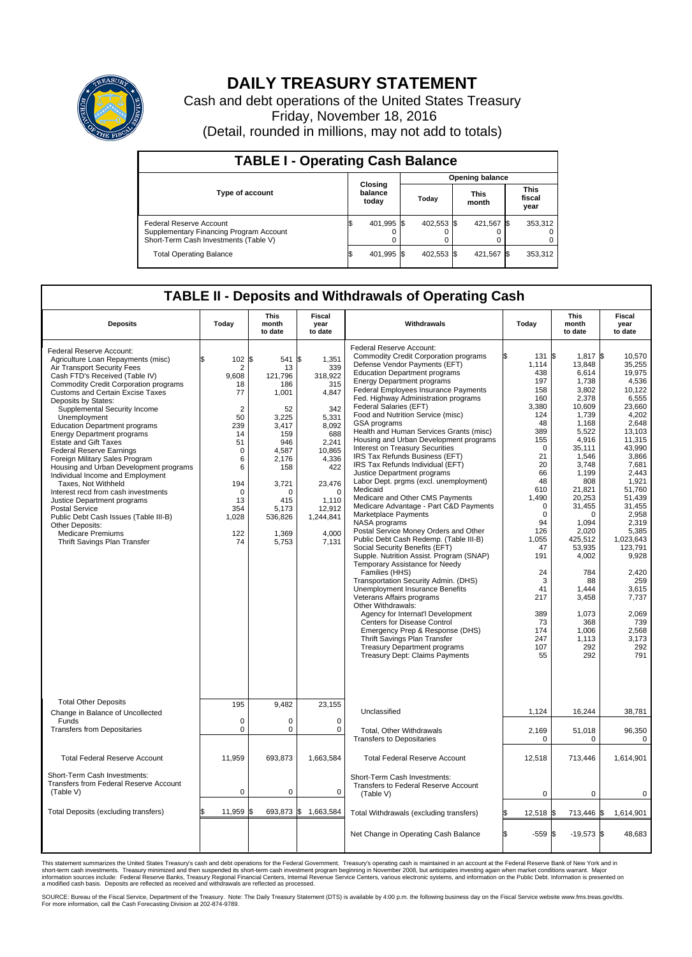

## **DAILY TREASURY STATEMENT**

Cash and debt operations of the United States Treasury Friday, November 18, 2016 (Detail, rounded in millions, may not add to totals)

| <b>TABLE I - Operating Cash Balance</b>                                                                     |  |                             |  |                        |  |                      |      |                               |  |  |  |
|-------------------------------------------------------------------------------------------------------------|--|-----------------------------|--|------------------------|--|----------------------|------|-------------------------------|--|--|--|
|                                                                                                             |  |                             |  | <b>Opening balance</b> |  |                      |      |                               |  |  |  |
| <b>Type of account</b>                                                                                      |  | Closing<br>balance<br>today |  | Todav                  |  | <b>This</b><br>month |      | <b>This</b><br>fiscal<br>year |  |  |  |
| Federal Reserve Account<br>Supplementary Financing Program Account<br>Short-Term Cash Investments (Table V) |  | 401,995                     |  | 402,553 \$             |  | 421,567              | - 15 | 353,312                       |  |  |  |
| <b>Total Operating Balance</b>                                                                              |  | 401,995 \$                  |  | 402,553 \$             |  | 421,567              |      | 353,312                       |  |  |  |

## **TABLE II - Deposits and Withdrawals of Operating Cash**

| <b>Deposits</b>                                                                                                                                                                                                                                                                                                                                                                                                                                                                                                                                                                                                                                                                                                                                                                                                 | Today                                                                                                                                                           | This<br>month<br>to date                                                                                                                                                 | Fiscal<br>year<br>to date                                                                                                                                                          | Withdrawals                                                                                                                                                                                                                                                                                                                                                                                                                                                                                                                                                                                                                                                                                                                                                                                                                                                                                                                                                                                                                                                                                                                                                                                                                                                                                                                                     | Today                                                                                                                                                                                                                                                                | <b>This</b><br>month<br>to date                                                                                                                                                                                                                                                                                                 | Fiscal<br>year<br>to date                                                                                                                                                                                                                                                                                                        |
|-----------------------------------------------------------------------------------------------------------------------------------------------------------------------------------------------------------------------------------------------------------------------------------------------------------------------------------------------------------------------------------------------------------------------------------------------------------------------------------------------------------------------------------------------------------------------------------------------------------------------------------------------------------------------------------------------------------------------------------------------------------------------------------------------------------------|-----------------------------------------------------------------------------------------------------------------------------------------------------------------|--------------------------------------------------------------------------------------------------------------------------------------------------------------------------|------------------------------------------------------------------------------------------------------------------------------------------------------------------------------------|-------------------------------------------------------------------------------------------------------------------------------------------------------------------------------------------------------------------------------------------------------------------------------------------------------------------------------------------------------------------------------------------------------------------------------------------------------------------------------------------------------------------------------------------------------------------------------------------------------------------------------------------------------------------------------------------------------------------------------------------------------------------------------------------------------------------------------------------------------------------------------------------------------------------------------------------------------------------------------------------------------------------------------------------------------------------------------------------------------------------------------------------------------------------------------------------------------------------------------------------------------------------------------------------------------------------------------------------------|----------------------------------------------------------------------------------------------------------------------------------------------------------------------------------------------------------------------------------------------------------------------|---------------------------------------------------------------------------------------------------------------------------------------------------------------------------------------------------------------------------------------------------------------------------------------------------------------------------------|----------------------------------------------------------------------------------------------------------------------------------------------------------------------------------------------------------------------------------------------------------------------------------------------------------------------------------|
| Federal Reserve Account:<br>Agriculture Loan Repayments (misc)<br>Air Transport Security Fees<br>Cash FTD's Received (Table IV)<br><b>Commodity Credit Corporation programs</b><br><b>Customs and Certain Excise Taxes</b><br>Deposits by States:<br>Supplemental Security Income<br>Unemployment<br><b>Education Department programs</b><br><b>Energy Department programs</b><br><b>Estate and Gift Taxes</b><br><b>Federal Reserve Earnings</b><br>Foreign Military Sales Program<br>Housing and Urban Development programs<br>Individual Income and Employment<br>Taxes, Not Withheld<br>Interest recd from cash investments<br>Justice Department programs<br><b>Postal Service</b><br>Public Debt Cash Issues (Table III-B)<br>Other Deposits:<br><b>Medicare Premiums</b><br>Thrift Savings Plan Transfer | 102S<br>\$.<br>2<br>9,608<br>18<br>77<br>$\overline{2}$<br>50<br>239<br>14<br>51<br>$\mathbf 0$<br>6<br>6<br>194<br>$\Omega$<br>13<br>354<br>1,028<br>122<br>74 | 541 \$<br>13<br>121,796<br>186<br>1,001<br>52<br>3,225<br>3,417<br>159<br>946<br>4,587<br>2,176<br>158<br>3,721<br>$\Omega$<br>415<br>5,173<br>536,826<br>1,369<br>5,753 | 1,351<br>339<br>318,922<br>315<br>4,847<br>342<br>5,331<br>8,092<br>688<br>2.241<br>10,865<br>4,336<br>422<br>23,476<br>$\Omega$<br>1,110<br>12,912<br>1,244,841<br>4,000<br>7,131 | Federal Reserve Account:<br><b>Commodity Credit Corporation programs</b><br>Defense Vendor Payments (EFT)<br><b>Education Department programs</b><br><b>Energy Department programs</b><br><b>Federal Employees Insurance Payments</b><br>Fed. Highway Administration programs<br>Federal Salaries (EFT)<br>Food and Nutrition Service (misc)<br>GSA programs<br>Health and Human Services Grants (misc)<br>Housing and Urban Development programs<br>Interest on Treasury Securities<br>IRS Tax Refunds Business (EFT)<br>IRS Tax Refunds Individual (EFT)<br>Justice Department programs<br>Labor Dept. prgms (excl. unemployment)<br>Medicaid<br>Medicare and Other CMS Payments<br>Medicare Advantage - Part C&D Payments<br>Marketplace Payments<br>NASA programs<br>Postal Service Money Orders and Other<br>Public Debt Cash Redemp. (Table III-B)<br>Social Security Benefits (EFT)<br>Supple. Nutrition Assist. Program (SNAP)<br>Temporary Assistance for Needy<br>Families (HHS)<br>Transportation Security Admin. (DHS)<br>Unemployment Insurance Benefits<br>Veterans Affairs programs<br>Other Withdrawals:<br>Agency for Internat'l Development<br>Centers for Disease Control<br>Emergency Prep & Response (DHS)<br>Thrift Savings Plan Transfer<br><b>Treasury Department programs</b><br><b>Treasury Dept: Claims Payments</b> | 131<br>1,114<br>438<br>197<br>158<br>160<br>3,380<br>124<br>48<br>389<br>155<br>$\mathbf 0$<br>21<br>20<br>66<br>48<br>610<br>1,490<br>$\mathbf 0$<br>$\mathbf 0$<br>94<br>126<br>1,055<br>47<br>191<br>24<br>3<br>41<br>217<br>389<br>73<br>174<br>247<br>107<br>55 | 1,817 \$<br>ß.<br>13,848<br>6,614<br>1,738<br>3.802<br>2,378<br>10,609<br>1,739<br>1.168<br>5,522<br>4,916<br>35,111<br>1,546<br>3,748<br>1.199<br>808<br>21,821<br>20,253<br>31,455<br>$\Omega$<br>1.094<br>2,020<br>425,512<br>53,935<br>4,002<br>784<br>88<br>1,444<br>3,458<br>1,073<br>368<br>1,006<br>1,113<br>292<br>292 | 10,570<br>35,255<br>19.975<br>4,536<br>10,122<br>6,555<br>23.660<br>4,202<br>2.648<br>13,103<br>11,315<br>43.990<br>3,866<br>7,681<br>2.443<br>1,921<br>51,760<br>51,439<br>31.455<br>2,958<br>2.319<br>5,385<br>1,023,643<br>123,791<br>9,928<br>2,420<br>259<br>3,615<br>7,737<br>2.069<br>739<br>2,568<br>3,173<br>292<br>791 |
| <b>Total Other Deposits</b><br>Change in Balance of Uncollected                                                                                                                                                                                                                                                                                                                                                                                                                                                                                                                                                                                                                                                                                                                                                 | 195                                                                                                                                                             | 9,482                                                                                                                                                                    | 23,155                                                                                                                                                                             | Unclassified                                                                                                                                                                                                                                                                                                                                                                                                                                                                                                                                                                                                                                                                                                                                                                                                                                                                                                                                                                                                                                                                                                                                                                                                                                                                                                                                    | 1,124                                                                                                                                                                                                                                                                | 16,244                                                                                                                                                                                                                                                                                                                          | 38,781                                                                                                                                                                                                                                                                                                                           |
| Funds<br><b>Transfers from Depositaries</b>                                                                                                                                                                                                                                                                                                                                                                                                                                                                                                                                                                                                                                                                                                                                                                     | $\mathbf 0$<br>$\mathbf 0$                                                                                                                                      | 0<br>0                                                                                                                                                                   | $\mathbf 0$<br>$\mathbf 0$                                                                                                                                                         | Total, Other Withdrawals<br><b>Transfers to Depositaries</b>                                                                                                                                                                                                                                                                                                                                                                                                                                                                                                                                                                                                                                                                                                                                                                                                                                                                                                                                                                                                                                                                                                                                                                                                                                                                                    | 2,169<br>0                                                                                                                                                                                                                                                           | 51,018<br>$\mathbf 0$                                                                                                                                                                                                                                                                                                           | 96,350<br>0                                                                                                                                                                                                                                                                                                                      |
| <b>Total Federal Reserve Account</b>                                                                                                                                                                                                                                                                                                                                                                                                                                                                                                                                                                                                                                                                                                                                                                            | 11.959                                                                                                                                                          | 693.873                                                                                                                                                                  | 1,663,584                                                                                                                                                                          | <b>Total Federal Reserve Account</b>                                                                                                                                                                                                                                                                                                                                                                                                                                                                                                                                                                                                                                                                                                                                                                                                                                                                                                                                                                                                                                                                                                                                                                                                                                                                                                            | 12,518                                                                                                                                                                                                                                                               | 713,446                                                                                                                                                                                                                                                                                                                         | 1,614,901                                                                                                                                                                                                                                                                                                                        |
| Short-Term Cash Investments:<br><b>Transfers from Federal Reserve Account</b><br>(Table V)                                                                                                                                                                                                                                                                                                                                                                                                                                                                                                                                                                                                                                                                                                                      | $\mathbf 0$                                                                                                                                                     | 0                                                                                                                                                                        | $\mathbf 0$                                                                                                                                                                        | Short-Term Cash Investments:<br>Transfers to Federal Reserve Account<br>(Table V)                                                                                                                                                                                                                                                                                                                                                                                                                                                                                                                                                                                                                                                                                                                                                                                                                                                                                                                                                                                                                                                                                                                                                                                                                                                               | $\mathbf 0$                                                                                                                                                                                                                                                          | $\mathbf 0$                                                                                                                                                                                                                                                                                                                     | 0                                                                                                                                                                                                                                                                                                                                |
| Total Deposits (excluding transfers)                                                                                                                                                                                                                                                                                                                                                                                                                                                                                                                                                                                                                                                                                                                                                                            | 11,959                                                                                                                                                          | 693,873 \$<br>\$                                                                                                                                                         | 1,663,584                                                                                                                                                                          | Total Withdrawals (excluding transfers)                                                                                                                                                                                                                                                                                                                                                                                                                                                                                                                                                                                                                                                                                                                                                                                                                                                                                                                                                                                                                                                                                                                                                                                                                                                                                                         | 12,518 \$                                                                                                                                                                                                                                                            | 713,446 \$                                                                                                                                                                                                                                                                                                                      | 1,614,901                                                                                                                                                                                                                                                                                                                        |
|                                                                                                                                                                                                                                                                                                                                                                                                                                                                                                                                                                                                                                                                                                                                                                                                                 |                                                                                                                                                                 |                                                                                                                                                                          |                                                                                                                                                                                    | Net Change in Operating Cash Balance                                                                                                                                                                                                                                                                                                                                                                                                                                                                                                                                                                                                                                                                                                                                                                                                                                                                                                                                                                                                                                                                                                                                                                                                                                                                                                            | \$<br>$-559S$                                                                                                                                                                                                                                                        | $-19,573$ \$                                                                                                                                                                                                                                                                                                                    | 48,683                                                                                                                                                                                                                                                                                                                           |

This statement summarizes the United States Treasury's cash and debt operations for the Federal Government. Treasury's operating cash is maintained in an account at the Federal Reserve Bank of New York and in<br>short-term ca

SOURCE: Bureau of the Fiscal Service, Department of the Treasury. Note: The Daily Treasury Statement (DTS) is available by 4:00 p.m. the following business day on the Fiscal Service website www.fms.treas.gov/dts.<br>For more